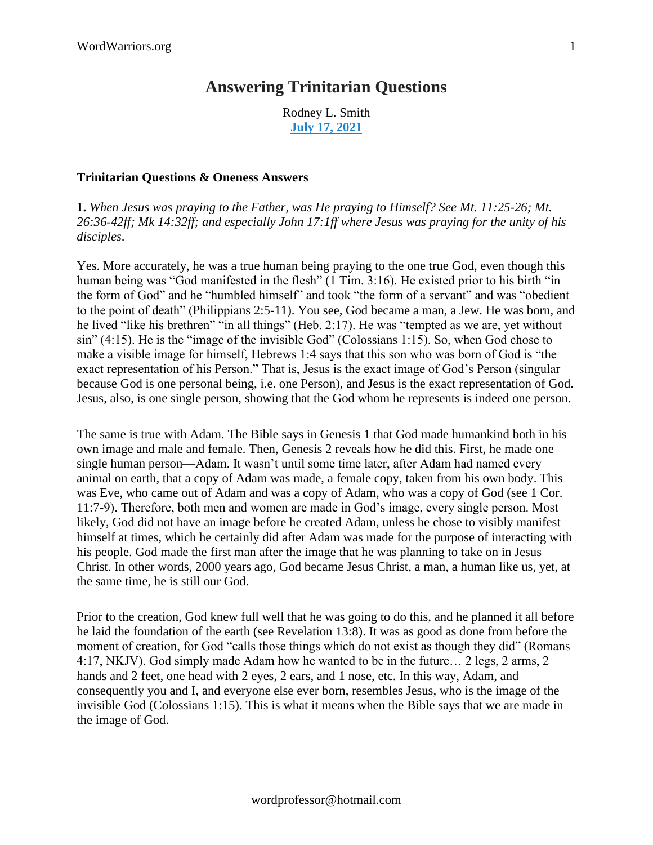## **Answering [Trinitarian](https://discipleinthelight.wordpress.com/2021/07/17/answering-trinitarian-questions/) Questions**

Rodney L. Smith **July 17, [2021](https://discipleinthelight.wordpress.com/2021/07/17/answering-trinitarian-questions/)**

## **Trinitarian Questions & Oneness Answers**

**1.** *When Jesus was praying to the Father, was He praying to Himself? See Mt. 11:25-26; Mt. 26:36-42ff; Mk 14:32ff; and especially John 17:1ff where Jesus was praying for the unity of his disciples*.

Yes. More accurately, he was a true human being praying to the one true God, even though this human being was "God manifested in the flesh" (1 Tim. 3:16). He existed prior to his birth "in the form of God" and he "humbled himself" and took "the form of a servant" and was "obedient to the point of death" (Philippians 2:5-11). You see, God became a man, a Jew. He was born, and he lived "like his brethren" "in all things" (Heb. 2:17). He was "tempted as we are, yet without sin" (4:15). He is the "image of the invisible God" (Colossians 1:15). So, when God chose to make a visible image for himself, Hebrews 1:4 says that this son who was born of God is "the exact representation of his Person." That is, Jesus is the exact image of God's Person (singular because God is one personal being, i.e. one Person), and Jesus is the exact representation of God. Jesus, also, is one single person, showing that the God whom he represents is indeed one person.

The same is true with Adam. The Bible says in Genesis 1 that God made humankind both in his own image and male and female. Then, Genesis 2 reveals how he did this. First, he made one single human person—Adam. It wasn't until some time later, after Adam had named every animal on earth, that a copy of Adam was made, a female copy, taken from his own body. This was Eve, who came out of Adam and was a copy of Adam, who was a copy of God (see 1 Cor. 11:7-9). Therefore, both men and women are made in God's image, every single person. Most likely, God did not have an image before he created Adam, unless he chose to visibly manifest himself at times, which he certainly did after Adam was made for the purpose of interacting with his people. God made the first man after the image that he was planning to take on in Jesus Christ. In other words, 2000 years ago, God became Jesus Christ, a man, a human like us, yet, at the same time, he is still our God.

Prior to the creation, God knew full well that he was going to do this, and he planned it all before he laid the foundation of the earth (see Revelation 13:8). It was as good as done from before the moment of creation, for God "calls those things which do not exist as though they did" (Romans 4:17, NKJV). God simply made Adam how he wanted to be in the future… 2 legs, 2 arms, 2 hands and 2 feet, one head with 2 eyes, 2 ears, and 1 nose, etc. In this way, Adam, and consequently you and I, and everyone else ever born, resembles Jesus, who is the image of the invisible God (Colossians 1:15). This is what it means when the Bible says that we are made in the image of God.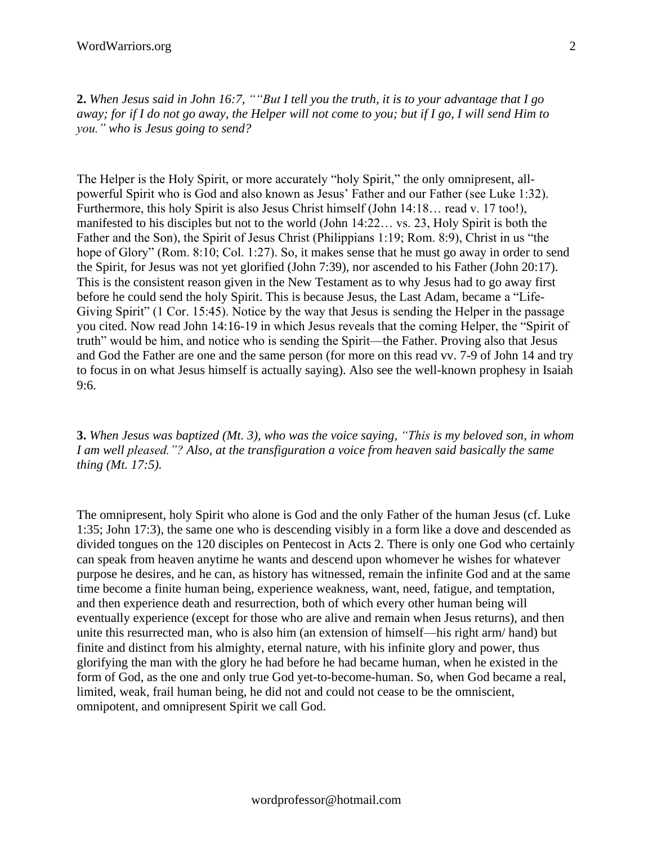2. When Jesus said in John 16:7, ""But I tell you the truth, it is to your advantage that I go away; for if I do not go away, the Helper will not come to you; but if I go, I will send Him to *you." who is Jesus going to send?*

The Helper is the Holy Spirit, or more accurately "holy Spirit," the only omnipresent, allpowerful Spirit who is God and also known as Jesus' Father and our Father (see Luke 1:32). Furthermore, this holy Spirit is also Jesus Christ himself (John 14:18… read v. 17 too!), manifested to his disciples but not to the world (John 14:22… vs. 23, Holy Spirit is both the Father and the Son), the Spirit of Jesus Christ (Philippians 1:19; Rom. 8:9), Christ in us "the hope of Glory" (Rom. 8:10; Col. 1:27). So, it makes sense that he must go away in order to send the Spirit, for Jesus was not yet glorified (John 7:39), nor ascended to his Father (John 20:17). This is the consistent reason given in the New Testament as to why Jesus had to go away first before he could send the holy Spirit. This is because Jesus, the Last Adam, became a "Life-Giving Spirit" (1 Cor. 15:45). Notice by the way that Jesus is sending the Helper in the passage you cited. Now read John 14:16-19 in which Jesus reveals that the coming Helper, the "Spirit of truth" would be him, and notice who is sending the Spirit—the Father. Proving also that Jesus and God the Father are one and the same person (for more on this read vv. 7-9 of John 14 and try to focus in on what Jesus himself is actually saying). Also see the well-known prophesy in Isaiah 9:6.

**3.** When Jesus was baptized (Mt. 3), who was the voice saying, "This is my beloved son, in whom *I am well pleased."? Also, at the transfiguration a voice from heaven said basically the same thing (Mt. 17:5).*

The omnipresent, holy Spirit who alone is God and the only Father of the human Jesus (cf. Luke 1:35; John 17:3), the same one who is descending visibly in a form like a dove and descended as divided tongues on the 120 disciples on Pentecost in Acts 2. There is only one God who certainly can speak from heaven anytime he wants and descend upon whomever he wishes for whatever purpose he desires, and he can, as history has witnessed, remain the infinite God and at the same time become a finite human being, experience weakness, want, need, fatigue, and temptation, and then experience death and resurrection, both of which every other human being will eventually experience (except for those who are alive and remain when Jesus returns), and then unite this resurrected man, who is also him (an extension of himself—his right arm/ hand) but finite and distinct from his almighty, eternal nature, with his infinite glory and power, thus glorifying the man with the glory he had before he had became human, when he existed in the form of God, as the one and only true God yet-to-become-human. So, when God became a real, limited, weak, frail human being, he did not and could not cease to be the omniscient, omnipotent, and omnipresent Spirit we call God.